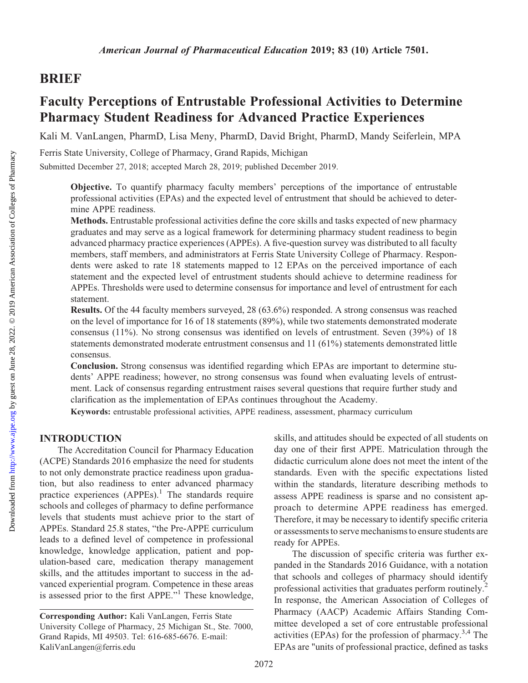## BRIEF

# Faculty Perceptions of Entrustable Professional Activities to Determine Pharmacy Student Readiness for Advanced Practice Experiences

Kali M. VanLangen, PharmD, Lisa Meny, PharmD, David Bright, PharmD, Mandy Seiferlein, MPA

Ferris State University, College of Pharmacy, Grand Rapids, Michigan

Submitted December 27, 2018; accepted March 28, 2019; published December 2019.

Objective. To quantify pharmacy faculty members' perceptions of the importance of entrustable professional activities (EPAs) and the expected level of entrustment that should be achieved to determine APPE readiness.

Methods. Entrustable professional activities define the core skills and tasks expected of new pharmacy graduates and may serve as a logical framework for determining pharmacy student readiness to begin advanced pharmacy practice experiences (APPEs). A five-question survey was distributed to all faculty members, staff members, and administrators at Ferris State University College of Pharmacy. Respondents were asked to rate 18 statements mapped to 12 EPAs on the perceived importance of each statement and the expected level of entrustment students should achieve to determine readiness for APPEs. Thresholds were used to determine consensus for importance and level of entrustment for each statement.

Results. Of the 44 faculty members surveyed, 28 (63.6%) responded. A strong consensus was reached on the level of importance for 16 of 18 statements (89%), while two statements demonstrated moderate consensus (11%). No strong consensus was identified on levels of entrustment. Seven (39%) of 18 statements demonstrated moderate entrustment consensus and 11 (61%) statements demonstrated little consensus.

Conclusion. Strong consensus was identified regarding which EPAs are important to determine students' APPE readiness; however, no strong consensus was found when evaluating levels of entrustment. Lack of consensus regarding entrustment raises several questions that require further study and clarification as the implementation of EPAs continues throughout the Academy.

Keywords: entrustable professional activities, APPE readiness, assessment, pharmacy curriculum

### INTRODUCTION

The Accreditation Council for Pharmacy Education (ACPE) Standards 2016 emphasize the need for students to not only demonstrate practice readiness upon graduation, but also readiness to enter advanced pharmacy practice experiences  $(APPEs)$ .<sup>1</sup> The standards require schools and colleges of pharmacy to define performance levels that students must achieve prior to the start of APPEs. Standard 25.8 states, "the Pre-APPE curriculum leads to a defined level of competence in professional knowledge, knowledge application, patient and population-based care, medication therapy management skills, and the attitudes important to success in the advanced experiential program. Competence in these areas is assessed prior to the first APPE."<sup>1</sup> These knowledge, skills, and attitudes should be expected of all students on day one of their first APPE. Matriculation through the didactic curriculum alone does not meet the intent of the standards. Even with the specific expectations listed within the standards, literature describing methods to assess APPE readiness is sparse and no consistent approach to determine APPE readiness has emerged. Therefore, it may be necessary to identify specific criteria or assessments to serve mechanisms to ensure students are ready for APPEs.

The discussion of specific criteria was further expanded in the Standards 2016 Guidance, with a notation that schools and colleges of pharmacy should identify professional activities that graduates perform routinely.<sup>2</sup> In response, the American Association of Colleges of Pharmacy (AACP) Academic Affairs Standing Committee developed a set of core entrustable professional activities (EPAs) for the profession of pharmacy.<sup>3,4</sup> The EPAs are "units of professional practice, defined as tasks

Corresponding Author: Kali VanLangen, Ferris State University College of Pharmacy, 25 Michigan St., Ste. 7000, Grand Rapids, MI 49503. Tel: 616-685-6676. E-mail: [KaliVanLangen@ferris.edu](mailto:KaliVanLangen@ferris.edu)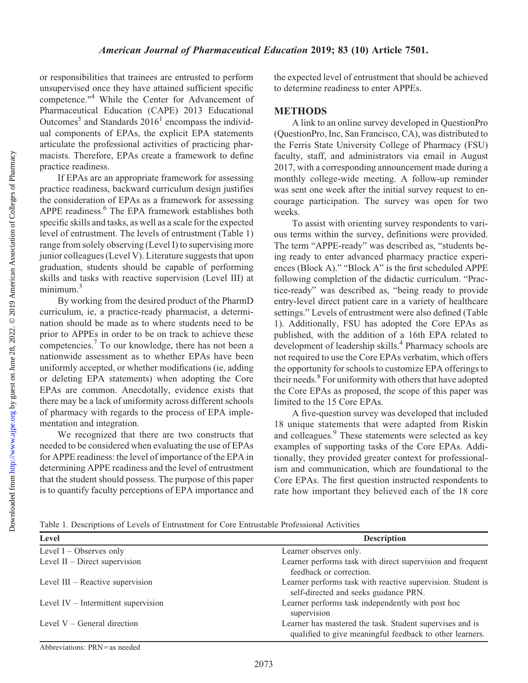or responsibilities that trainees are entrusted to perform unsupervised once they have attained sufficient specific competence."4 While the Center for Advancement of Pharmaceutical Education (CAPE) 2013 Educational Outcomes<sup>5</sup> and Standards  $2016<sup>1</sup>$  encompass the individual components of EPAs, the explicit EPA statements articulate the professional activities of practicing pharmacists. Therefore, EPAs create a framework to define practice readiness.

If EPAs are an appropriate framework for assessing practice readiness, backward curriculum design justifies the consideration of EPAs as a framework for assessing APPE readiness.<sup>6</sup> The EPA framework establishes both specific skills and tasks, as well as a scale for the expected level of entrustment. The levels of entrustment (Table 1) range from solely observing (Level I) to supervising more junior colleagues (Level V). Literature suggests that upon graduation, students should be capable of performing skills and tasks with reactive supervision (Level III) at minimum.<sup>3</sup>

By working from the desired product of the PharmD curriculum, ie, a practice-ready pharmacist, a determination should be made as to where students need to be prior to APPEs in order to be on track to achieve these competencies.7 To our knowledge, there has not been a nationwide assessment as to whether EPAs have been uniformly accepted, or whether modifications (ie, adding or deleting EPA statements) when adopting the Core EPAs are common. Anecdotally, evidence exists that there may be a lack of uniformity across different schools of pharmacy with regards to the process of EPA implementation and integration.

We recognized that there are two constructs that needed to be considered when evaluating the use of EPAs for APPE readiness: the level of importance of the EPA in determining APPE readiness and the level of entrustment that the student should possess. The purpose of this paper is to quantify faculty perceptions of EPA importance and

the expected level of entrustment that should be achieved to determine readiness to enter APPEs.

### **METHODS**

A link to an online survey developed in QuestionPro (QuestionPro, Inc, San Francisco, CA), was distributed to the Ferris State University College of Pharmacy (FSU) faculty, staff, and administrators via email in August 2017, with a corresponding announcement made during a monthly college-wide meeting. A follow-up reminder was sent one week after the initial survey request to encourage participation. The survey was open for two weeks.

To assist with orienting survey respondents to various terms within the survey, definitions were provided. The term "APPE-ready" was described as, "students being ready to enter advanced pharmacy practice experiences (Block A)." "Block A" is the first scheduled APPE following completion of the didactic curriculum. "Practice-ready" was described as, "being ready to provide entry-level direct patient care in a variety of healthcare settings." Levels of entrustment were also defined (Table 1). Additionally, FSU has adopted the Core EPAs as published, with the addition of a 16th EPA related to development of leadership skills.<sup>4</sup> Pharmacy schools are not required to use the Core EPAs verbatim, which offers the opportunity for schools to customize EPA offerings to their needs.<sup>8</sup> For uniformity with others that have adopted the Core EPAs as proposed, the scope of this paper was limited to the 15 Core EPAs.

A five-question survey was developed that included 18 unique statements that were adapted from Riskin and colleagues.<sup>9</sup> These statements were selected as key examples of supporting tasks of the Core EPAs. Additionally, they provided greater context for professionalism and communication, which are foundational to the Core EPAs. The first question instructed respondents to rate how important they believed each of the 18 core

Table 1. Descriptions of Levels of Entrustment for Core Entrustable Professional Activities

| Level                                 | <b>Description</b>                                                                                                   |  |  |
|---------------------------------------|----------------------------------------------------------------------------------------------------------------------|--|--|
| Level $I -$ Observes only             | Learner observes only.                                                                                               |  |  |
| Level $II$ – Direct supervision       | Learner performs task with direct supervision and frequent<br>feedback or correction.                                |  |  |
| Level $III$ – Reactive supervision    | Learner performs task with reactive supervision. Student is<br>self-directed and seeks guidance PRN.                 |  |  |
| Level $IV$ – Intermittent supervision | Learner performs task independently with post hoc<br>supervision                                                     |  |  |
| Level $V -$ General direction         | Learner has mastered the task. Student supervises and is<br>qualified to give meaningful feedback to other learners. |  |  |
|                                       |                                                                                                                      |  |  |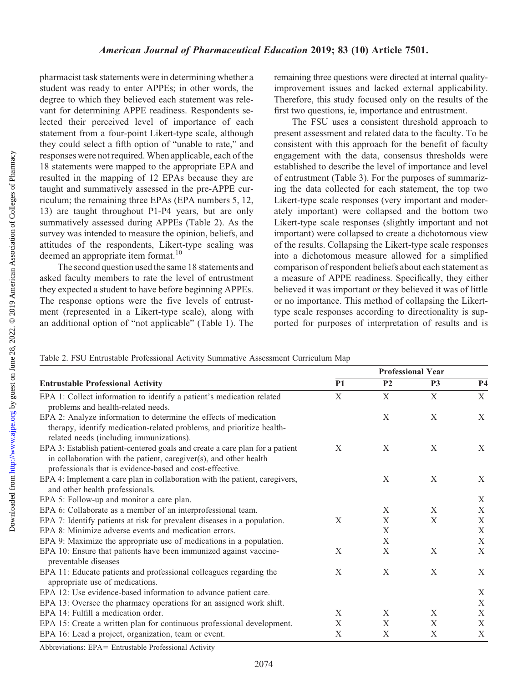pharmacist task statements were in determining whether a student was ready to enter APPEs; in other words, the degree to which they believed each statement was relevant for determining APPE readiness. Respondents selected their perceived level of importance of each statement from a four-point Likert-type scale, although they could select a fifth option of "unable to rate," and responses were not required. When applicable, each of the 18 statements were mapped to the appropriate EPA and resulted in the mapping of 12 EPAs because they are taught and summatively assessed in the pre-APPE curriculum; the remaining three EPAs (EPA numbers 5, 12, 13) are taught throughout P1-P4 years, but are only summatively assessed during APPEs (Table 2). As the survey was intended to measure the opinion, beliefs, and attitudes of the respondents, Likert-type scaling was deemed an appropriate item format.<sup>10</sup>

The second question used the same 18 statements and asked faculty members to rate the level of entrustment they expected a student to have before beginning APPEs. The response options were the five levels of entrustment (represented in a Likert-type scale), along with an additional option of "not applicable" (Table 1). The

remaining three questions were directed at internal qualityimprovement issues and lacked external applicability. Therefore, this study focused only on the results of the first two questions, ie, importance and entrustment.

The FSU uses a consistent threshold approach to present assessment and related data to the faculty. To be consistent with this approach for the benefit of faculty engagement with the data, consensus thresholds were established to describe the level of importance and level of entrustment (Table 3). For the purposes of summarizing the data collected for each statement, the top two Likert-type scale responses (very important and moderately important) were collapsed and the bottom two Likert-type scale responses (slightly important and not important) were collapsed to create a dichotomous view of the results. Collapsing the Likert-type scale responses into a dichotomous measure allowed for a simplified comparison of respondent beliefs about each statement as a measure of APPE readiness. Specifically, they either believed it was important or they believed it was of little or no importance. This method of collapsing the Likerttype scale responses according to directionality is supported for purposes of interpretation of results and is

Table 2. FSU Entrustable Professional Activity Summative Assessment Curriculum Map

|                                                                              | <b>Professional Year</b> |                |                |                |  |
|------------------------------------------------------------------------------|--------------------------|----------------|----------------|----------------|--|
| <b>Entrustable Professional Activity</b>                                     | <b>P1</b>                | P <sub>2</sub> | P <sub>3</sub> | P <sub>4</sub> |  |
| EPA 1: Collect information to identify a patient's medication related        | X                        | X              | X              | X              |  |
| problems and health-related needs.                                           |                          |                |                |                |  |
| EPA 2: Analyze information to determine the effects of medication            |                          | X              | X              | X              |  |
| therapy, identify medication-related problems, and prioritize health-        |                          |                |                |                |  |
| related needs (including immunizations).                                     |                          |                |                |                |  |
| EPA 3: Establish patient-centered goals and create a care plan for a patient | X                        | X              | X              | X              |  |
| in collaboration with the patient, caregiver(s), and other health            |                          |                |                |                |  |
| professionals that is evidence-based and cost-effective.                     |                          |                |                |                |  |
| EPA 4: Implement a care plan in collaboration with the patient, caregivers,  |                          | X              | X              | X              |  |
| and other health professionals.                                              |                          |                |                |                |  |
| EPA 5: Follow-up and monitor a care plan.                                    |                          |                |                | X              |  |
| EPA 6: Collaborate as a member of an interprofessional team.                 |                          | X              | X              | X              |  |
| EPA 7: Identify patients at risk for prevalent diseases in a population.     | X                        | $\mathbf X$    | $\mathbf X$    | $\mathbf X$    |  |
| EPA 8: Minimize adverse events and medication errors.                        |                          | $\mathbf X$    |                | $\mathbf X$    |  |
| EPA 9: Maximize the appropriate use of medications in a population.          |                          | $\mathbf X$    |                | $\mathbf X$    |  |
| EPA 10: Ensure that patients have been immunized against vaccine-            | X                        | $\mathbf X$    | X              | X              |  |
| preventable diseases                                                         |                          |                |                |                |  |
| EPA 11: Educate patients and professional colleagues regarding the           | X                        | X              | X              | X              |  |
| appropriate use of medications.                                              |                          |                |                |                |  |
| EPA 12: Use evidence-based information to advance patient care.              |                          |                |                | $\mathbf X$    |  |
| EPA 13: Oversee the pharmacy operations for an assigned work shift.          |                          |                |                | $\mathbf X$    |  |
| EPA 14: Fulfill a medication order.                                          | X                        | X              | X              | X              |  |
| EPA 15: Create a written plan for continuous professional development.       | $\mathbf X$              | $\mathbf X$    | $\mathbf X$    | $\mathbf X$    |  |
| EPA 16: Lead a project, organization, team or event.                         | $\mathbf X$              | $\mathbf X$    | $\mathbf X$    | $\mathbf X$    |  |

Abbreviations: EPA= Entrustable Professional Activity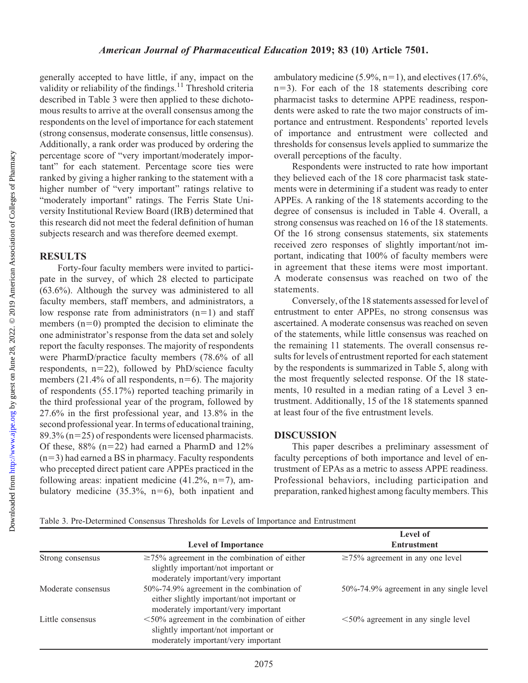Downloaded from

generally accepted to have little, if any, impact on the validity or reliability of the findings. $11$  Threshold criteria described in Table 3 were then applied to these dichotomous results to arrive at the overall consensus among the respondents on the level of importance for each statement (strong consensus, moderate consensus, little consensus). Additionally, a rank order was produced by ordering the percentage score of "very important/moderately important" for each statement. Percentage score ties were ranked by giving a higher ranking to the statement with a higher number of "very important" ratings relative to "moderately important" ratings. The Ferris State University Institutional Review Board (IRB) determined that this research did not meet the federal definition of human subjects research and was therefore deemed exempt.

#### **RESULTS**

Forty-four faculty members were invited to participate in the survey, of which 28 elected to participate (63.6%). Although the survey was administered to all faculty members, staff members, and administrators, a low response rate from administrators  $(n=1)$  and staff members  $(n=0)$  prompted the decision to eliminate the one administrator's response from the data set and solely report the faculty responses. The majority of respondents were PharmD/practice faculty members (78.6% of all respondents,  $n=22$ ), followed by PhD/science faculty members (21.4% of all respondents,  $n=6$ ). The majority of respondents (55.17%) reported teaching primarily in the third professional year of the program, followed by 27.6% in the first professional year, and 13.8% in the second professional year. In terms of educational training, 89.3% ( $n=25$ ) of respondents were licensed pharmacists. Of these,  $88\%$  (n=22) had earned a PharmD and  $12\%$  $(n=3)$  had earned a BS in pharmacy. Faculty respondents who precepted direct patient care APPEs practiced in the following areas: inpatient medicine  $(41.2\%, n=7)$ , ambulatory medicine  $(35.3\%, n=6)$ , both inpatient and

ambulatory medicine (5.9%,  $n=1$ ), and electives (17.6%,  $n=3$ ). For each of the 18 statements describing core pharmacist tasks to determine APPE readiness, respondents were asked to rate the two major constructs of importance and entrustment. Respondents' reported levels of importance and entrustment were collected and thresholds for consensus levels applied to summarize the overall perceptions of the faculty.

Respondents were instructed to rate how important they believed each of the 18 core pharmacist task statements were in determining if a student was ready to enter APPEs. A ranking of the 18 statements according to the degree of consensus is included in Table 4. Overall, a strong consensus was reached on 16 of the 18 statements. Of the 16 strong consensus statements, six statements received zero responses of slightly important/not important, indicating that 100% of faculty members were in agreement that these items were most important. A moderate consensus was reached on two of the statements.

Conversely, of the 18 statements assessed for level of entrustment to enter APPEs, no strong consensus was ascertained. A moderate consensus was reached on seven of the statements, while little consensus was reached on the remaining 11 statements. The overall consensus results for levels of entrustment reported for each statement by the respondents is summarized in Table 5, along with the most frequently selected response. Of the 18 statements, 10 resulted in a median rating of a Level 3 entrustment. Additionally, 15 of the 18 statements spanned at least four of the five entrustment levels.

#### DISCUSSION

This paper describes a preliminary assessment of faculty perceptions of both importance and level of entrustment of EPAs as a metric to assess APPE readiness. Professional behaviors, including participation and preparation, ranked highest among faculty members. This

Table 3. Pre-Determined Consensus Thresholds for Levels of Importance and Entrustment

|                    | <b>Level of Importance</b>                                                                                                      | Level of<br><b>Entrustment</b>            |
|--------------------|---------------------------------------------------------------------------------------------------------------------------------|-------------------------------------------|
| Strong consensus   | $\geq$ 75% agreement in the combination of either<br>slightly important/not important or<br>moderately important/very important | $\geq$ 75% agreement in any one level     |
| Moderate consensus | 50%-74.9% agreement in the combination of<br>either slightly important/not important or<br>moderately important/very important  | 50%-74.9% agreement in any single level   |
| Little consensus   | $<50\%$ agreement in the combination of either<br>slightly important/not important or<br>moderately important/very important    | $\leq 50\%$ agreement in any single level |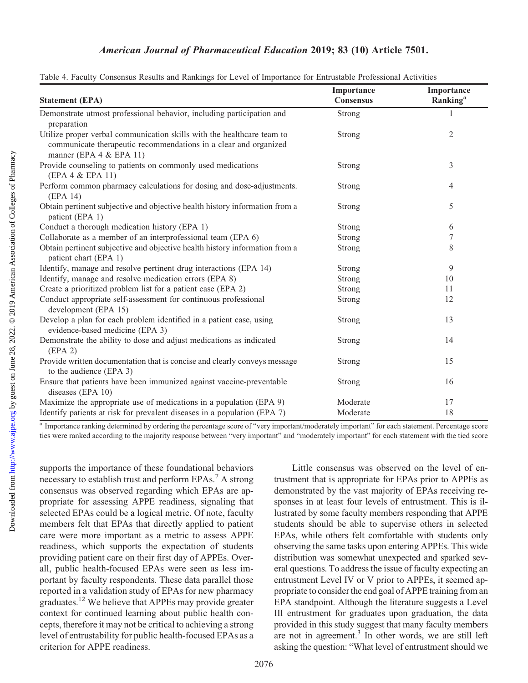#### American Journal of Pharmaceutical Education 2019; 83 (10) Article 7501.

|                                                                                                                                                                            | Importance       | Importance           |
|----------------------------------------------------------------------------------------------------------------------------------------------------------------------------|------------------|----------------------|
| <b>Statement (EPA)</b>                                                                                                                                                     | <b>Consensus</b> | Ranking <sup>a</sup> |
| Demonstrate utmost professional behavior, including participation and<br>preparation                                                                                       | Strong           |                      |
| Utilize proper verbal communication skills with the healthcare team to<br>communicate therapeutic recommendations in a clear and organized<br>manner (EPA $4 &$ EPA $11$ ) | Strong           | 2                    |
| Provide counseling to patients on commonly used medications<br>(EPA 4 & EPA 11)                                                                                            | Strong           | 3                    |
| Perform common pharmacy calculations for dosing and dose-adjustments.<br>(EPA 14)                                                                                          | Strong           | 4                    |
| Obtain pertinent subjective and objective health history information from a<br>patient (EPA 1)                                                                             | Strong           | 5                    |
| Conduct a thorough medication history (EPA 1)                                                                                                                              | Strong           | 6                    |
| Collaborate as a member of an interprofessional team (EPA 6)                                                                                                               | Strong           | $\tau$               |
| Obtain pertinent subjective and objective health history information from a<br>patient chart (EPA 1)                                                                       | Strong           | 8                    |
| Identify, manage and resolve pertinent drug interactions (EPA 14)                                                                                                          | Strong           | 9                    |
| Identify, manage and resolve medication errors (EPA 8)                                                                                                                     | Strong           | 10                   |
| Create a prioritized problem list for a patient case (EPA 2)                                                                                                               | Strong           | 11                   |
| Conduct appropriate self-assessment for continuous professional<br>development (EPA 15)                                                                                    | Strong           | 12                   |
| Develop a plan for each problem identified in a patient case, using<br>evidence-based medicine (EPA 3)                                                                     | Strong           | 13                   |
| Demonstrate the ability to dose and adjust medications as indicated<br>(EPA 2)                                                                                             | Strong           | 14                   |
| Provide written documentation that is concise and clearly conveys message<br>to the audience (EPA 3)                                                                       | Strong           | 15                   |
| Ensure that patients have been immunized against vaccine-preventable<br>diseases (EPA 10)                                                                                  | Strong           | 16                   |
| Maximize the appropriate use of medications in a population (EPA 9)                                                                                                        | Moderate         | 17                   |
| Identify patients at risk for prevalent diseases in a population (EPA 7)                                                                                                   | Moderate         | 18                   |

| Table 4. Faculty Consensus Results and Rankings for Level of Importance for Entrustable Professional Activities |  |  |
|-----------------------------------------------------------------------------------------------------------------|--|--|
|                                                                                                                 |  |  |

<sup>a</sup> Importance ranking determined by ordering the percentage score of "very important/moderately important" for each statement. Percentage score ties were ranked according to the majority response between "very important" and "moderately important" for each statement with the tied score

supports the importance of these foundational behaviors necessary to establish trust and perform EPAs.<sup>7</sup> A strong consensus was observed regarding which EPAs are appropriate for assessing APPE readiness, signaling that selected EPAs could be a logical metric. Of note, faculty members felt that EPAs that directly applied to patient care were more important as a metric to assess APPE readiness, which supports the expectation of students providing patient care on their first day of APPEs. Overall, public health-focused EPAs were seen as less important by faculty respondents. These data parallel those reported in a validation study of EPAs for new pharmacy graduates.<sup>12</sup> We believe that APPEs may provide greater context for continued learning about public health concepts, therefore it may not be critical to achieving a strong level of entrustability for public health-focused EPAs as a criterion for APPE readiness.

Little consensus was observed on the level of entrustment that is appropriate for EPAs prior to APPEs as demonstrated by the vast majority of EPAs receiving responses in at least four levels of entrustment. This is illustrated by some faculty members responding that APPE students should be able to supervise others in selected EPAs, while others felt comfortable with students only observing the same tasks upon entering APPEs. This wide distribution was somewhat unexpected and sparked several questions. To address the issue of faculty expecting an entrustment Level IV or V prior to APPEs, it seemed appropriate to consider the end goal of APPE training from an EPA standpoint. Although the literature suggests a Level III entrustment for graduates upon graduation, the data provided in this study suggest that many faculty members are not in agreement.<sup>3</sup> In other words, we are still left asking the question: "What level of entrustment should we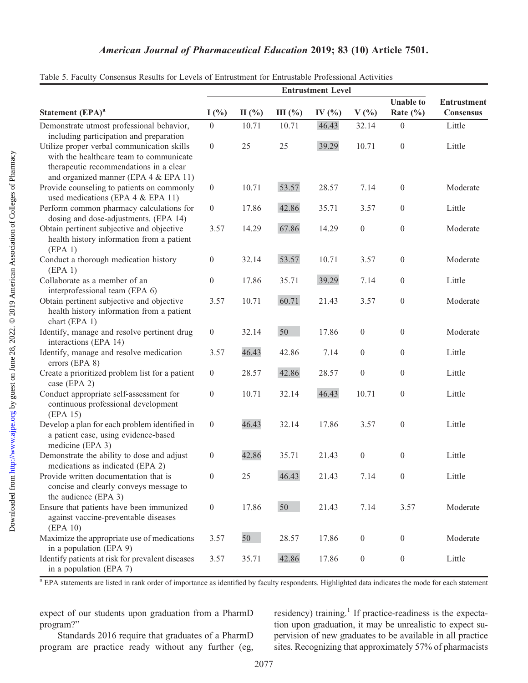#### American Journal of Pharmaceutical Education 2019; 83 (10) Article 7501.

|                                                                                                                                                                          | <b>Entrustment Level</b> |           |        |            |                  |                  |                    |
|--------------------------------------------------------------------------------------------------------------------------------------------------------------------------|--------------------------|-----------|--------|------------|------------------|------------------|--------------------|
|                                                                                                                                                                          |                          |           |        |            |                  | <b>Unable to</b> | <b>Entrustment</b> |
| Statement (EPA) <sup>a</sup>                                                                                                                                             | I(%)                     | $\Pi$ (%) | III(%) | IV $(\% )$ | $V(\%)$          | Rate $(\% )$     | Consensus          |
| Demonstrate utmost professional behavior,<br>including participation and preparation                                                                                     | $\boldsymbol{0}$         | 10.71     | 10.71  | 46.43      | 32.14            | $\boldsymbol{0}$ | Little             |
| Utilize proper verbal communication skills<br>with the healthcare team to communicate<br>therapeutic recommendations in a clear<br>and organized manner (EPA 4 & EPA 11) | $\boldsymbol{0}$         | 25        | 25     | 39.29      | 10.71            | $\boldsymbol{0}$ | Little             |
| Provide counseling to patients on commonly<br>used medications (EPA 4 & EPA 11)                                                                                          | $\boldsymbol{0}$         | 10.71     | 53.57  | 28.57      | 7.14             | $\boldsymbol{0}$ | Moderate           |
| Perform common pharmacy calculations for<br>dosing and dose-adjustments. (EPA 14)                                                                                        | $\boldsymbol{0}$         | 17.86     | 42.86  | 35.71      | 3.57             | $\boldsymbol{0}$ | Little             |
| Obtain pertinent subjective and objective<br>health history information from a patient<br>(EPA 1)                                                                        | 3.57                     | 14.29     | 67.86  | 14.29      | $\boldsymbol{0}$ | $\boldsymbol{0}$ | Moderate           |
| Conduct a thorough medication history<br>(EPA 1)                                                                                                                         | $\boldsymbol{0}$         | 32.14     | 53.57  | 10.71      | 3.57             | $\boldsymbol{0}$ | Moderate           |
| Collaborate as a member of an<br>interprofessional team (EPA 6)                                                                                                          | $\boldsymbol{0}$         | 17.86     | 35.71  | 39.29      | 7.14             | $\boldsymbol{0}$ | Little             |
| Obtain pertinent subjective and objective<br>health history information from a patient<br>chart (EPA 1)                                                                  | 3.57                     | 10.71     | 60.71  | 21.43      | 3.57             | $\boldsymbol{0}$ | Moderate           |
| Identify, manage and resolve pertinent drug<br>interactions (EPA 14)                                                                                                     | $\boldsymbol{0}$         | 32.14     | 50     | 17.86      | $\boldsymbol{0}$ | $\theta$         | Moderate           |
| Identify, manage and resolve medication<br>errors (EPA 8)                                                                                                                | 3.57                     | 46.43     | 42.86  | 7.14       | $\boldsymbol{0}$ | $\theta$         | Little             |
| Create a prioritized problem list for a patient<br>case (EPA 2)                                                                                                          | $\boldsymbol{0}$         | 28.57     | 42.86  | 28.57      | $\boldsymbol{0}$ | $\theta$         | Little             |
| Conduct appropriate self-assessment for<br>continuous professional development<br>(EPA 15)                                                                               | $\boldsymbol{0}$         | 10.71     | 32.14  | 46.43      | 10.71            | $\boldsymbol{0}$ | Little             |
| Develop a plan for each problem identified in<br>a patient case, using evidence-based<br>medicine (EPA 3)                                                                | $\boldsymbol{0}$         | 46.43     | 32.14  | 17.86      | 3.57             | $\boldsymbol{0}$ | Little             |
| Demonstrate the ability to dose and adjust<br>medications as indicated (EPA 2)                                                                                           | $\overline{0}$           | 42.86     | 35.71  | 21.43      | $\overline{0}$   | $\boldsymbol{0}$ | Little             |
| Provide written documentation that is<br>concise and clearly conveys message to<br>the audience (EPA 3)                                                                  | $\overline{0}$           | 25        | 46.43  | 21.43      | 7.14             | $\boldsymbol{0}$ | Little             |
| Ensure that patients have been immunized<br>against vaccine-preventable diseases<br>(EPA 10)                                                                             | $\overline{0}$           | 17.86     | 50     | 21.43      | 7.14             | 3.57             | Moderate           |
| Maximize the appropriate use of medications<br>in a population (EPA 9)                                                                                                   | 3.57                     | 50        | 28.57  | 17.86      | $\boldsymbol{0}$ | $\boldsymbol{0}$ | Moderate           |
| Identify patients at risk for prevalent diseases<br>in a population (EPA 7)                                                                                              | 3.57                     | 35.71     | 42.86  | 17.86      | $\boldsymbol{0}$ | $\boldsymbol{0}$ | Little             |

Table 5. Faculty Consensus Results for Levels of Entrustment for Entrustable Professional Activities

<sup>a</sup> EPA statements are listed in rank order of importance as identified by faculty respondents. Highlighted data indicates the mode for each statement

expect of our students upon graduation from a PharmD program?"

Standards 2016 require that graduates of a PharmD program are practice ready without any further (eg, residency) training.<sup>1</sup> If practice-readiness is the expectation upon graduation, it may be unrealistic to expect supervision of new graduates to be available in all practice sites. Recognizing that approximately 57% of pharmacists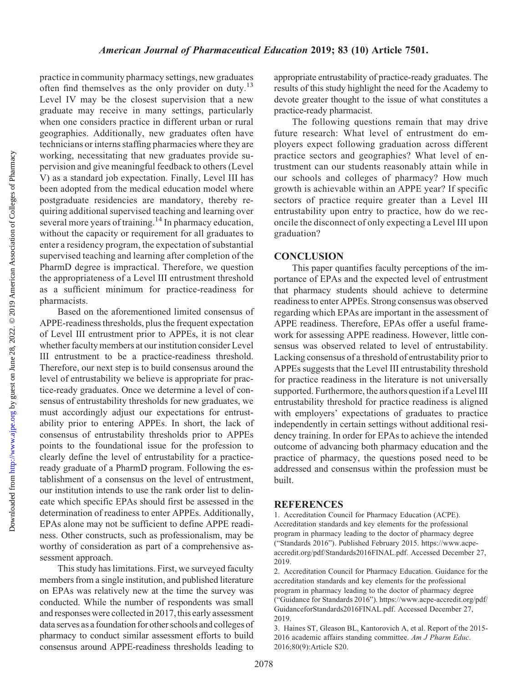practice in community pharmacy settings, new graduates often find themselves as the only provider on duty.<sup>13</sup> Level IV may be the closest supervision that a new graduate may receive in many settings, particularly when one considers practice in different urban or rural geographies. Additionally, new graduates often have technicians or interns staffing pharmacies where they are working, necessitating that new graduates provide supervision and give meaningful feedback to others (Level V) as a standard job expectation. Finally, Level III has been adopted from the medical education model where postgraduate residencies are mandatory, thereby requiring additional supervised teaching and learning over several more years of training.<sup>14</sup> In pharmacy education, without the capacity or requirement for all graduates to enter a residency program, the expectation of substantial supervised teaching and learning after completion of the PharmD degree is impractical. Therefore, we question the appropriateness of a Level III entrustment threshold as a sufficient minimum for practice-readiness for pharmacists.

Based on the aforementioned limited consensus of APPE-readiness thresholds, plus the frequent expectation of Level III entrustment prior to APPEs, it is not clear whether faculty members at our institution consider Level III entrustment to be a practice-readiness threshold. Therefore, our next step is to build consensus around the level of entrustability we believe is appropriate for practice-ready graduates. Once we determine a level of consensus of entrustability thresholds for new graduates, we must accordingly adjust our expectations for entrustability prior to entering APPEs. In short, the lack of consensus of entrustability thresholds prior to APPEs points to the foundational issue for the profession to clearly define the level of entrustability for a practiceready graduate of a PharmD program. Following the establishment of a consensus on the level of entrustment, our institution intends to use the rank order list to delineate which specific EPAs should first be assessed in the determination of readiness to enter APPEs. Additionally, EPAs alone may not be sufficient to define APPE readiness. Other constructs, such as professionalism, may be worthy of consideration as part of a comprehensive assessment approach.

This study has limitations. First, we surveyed faculty members from a single institution, and published literature on EPAs was relatively new at the time the survey was conducted. While the number of respondents was small and responses were collected in 2017, this early assessment data serves as a foundation for other schools and colleges of pharmacy to conduct similar assessment efforts to build consensus around APPE-readiness thresholds leading to

appropriate entrustability of practice-ready graduates. The results of this study highlight the need for the Academy to devote greater thought to the issue of what constitutes a practice-ready pharmacist.

The following questions remain that may drive future research: What level of entrustment do employers expect following graduation across different practice sectors and geographies? What level of entrustment can our students reasonably attain while in our schools and colleges of pharmacy? How much growth is achievable within an APPE year? If specific sectors of practice require greater than a Level III entrustability upon entry to practice, how do we reconcile the disconnect of only expecting a Level III upon graduation?

#### **CONCLUSION**

This paper quantifies faculty perceptions of the importance of EPAs and the expected level of entrustment that pharmacy students should achieve to determine readiness to enter APPEs. Strong consensus was observed regarding which EPAs are important in the assessment of APPE readiness. Therefore, EPAs offer a useful framework for assessing APPE readiness. However, little consensus was observed related to level of entrustability. Lacking consensus of a threshold of entrustability prior to APPEs suggests that the Level III entrustability threshold for practice readiness in the literature is not universally supported. Furthermore, the authors question if a Level III entrustability threshold for practice readiness is aligned with employers' expectations of graduates to practice independently in certain settings without additional residency training. In order for EPAs to achieve the intended outcome of advancing both pharmacy education and the practice of pharmacy, the questions posed need to be addressed and consensus within the profession must be built.

#### **REFERENCES**

1. Accreditation Council for Pharmacy Education (ACPE). Accreditation standards and key elements for the professional program in pharmacy leading to the doctor of pharmacy degree ("Standards 2016"). Published February 2015. [https://www.acpe](https://www.acpe-accredit.org/pdf/Standards2016FINAL.pdf)[accredit.org/pdf/Standards2016FINAL.pdf.](https://www.acpe-accredit.org/pdf/Standards2016FINAL.pdf) Accessed December 27, 2019.

2. Accreditation Council for Pharmacy Education. Guidance for the accreditation standards and key elements for the professional program in pharmacy leading to the doctor of pharmacy degree ("Guidance for Standards 2016"). https://www.acpe-accredit.org/pdf/ GuidanceforStandards2016FINAL.pdf. Accessed December 27, 2019.

3. Haines ST, Gleason BL, Kantorovich A, et al. Report of the 2015- 2016 academic affairs standing committee. Am J Pharm Educ. 2016;80(9):Article S20.